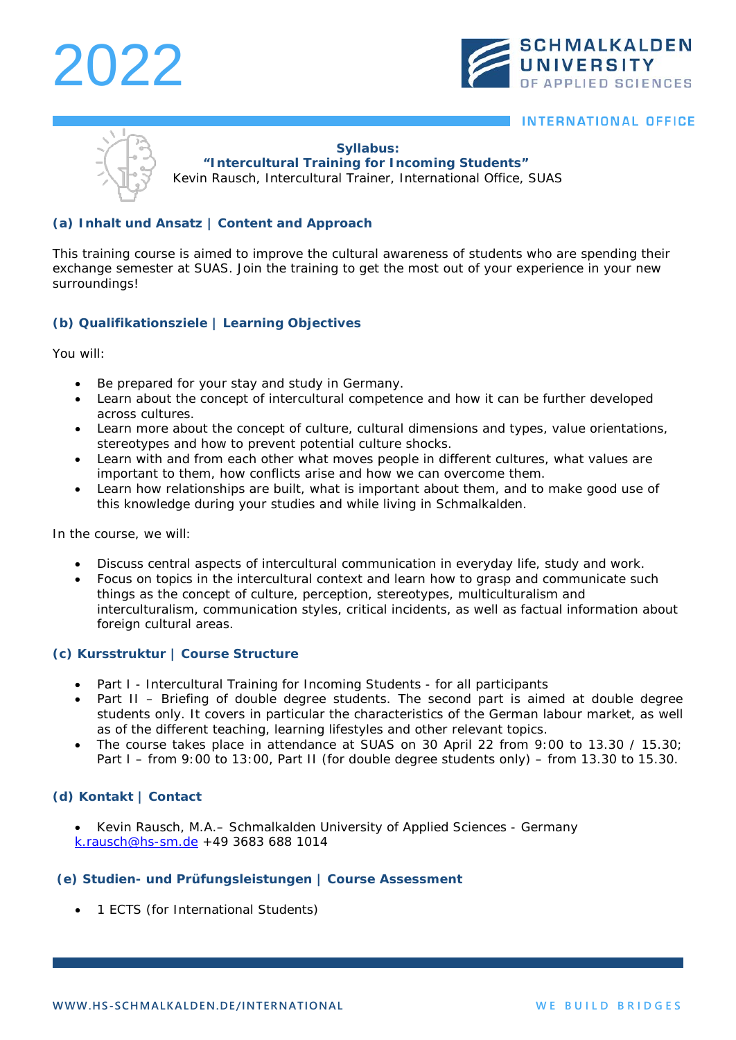# 2022



### **INTERNATIONAL OFFICE**

#### **Syllabus:**

**"Intercultural Training for Incoming Students"**

Kevin Rausch, Intercultural Trainer, International Office, SUAS

#### **(a) Inhalt und Ansatz | Content and Approach**

This training course is aimed to improve the cultural awareness of students who are spending their exchange semester at SUAS. Join the training to get the most out of your experience in your new surroundings!

### **(b) Qualifikationsziele | Learning Objectives**

You will:

- Be prepared for your stay and study in Germany.
- Learn about the concept of intercultural competence and how it can be further developed across cultures.
- Learn more about the concept of culture, cultural dimensions and types, value orientations, stereotypes and how to prevent potential culture shocks.
- Learn with and from each other what moves people in different cultures, what values are important to them, how conflicts arise and how we can overcome them.
- Learn how relationships are built, what is important about them, and to make good use of this knowledge during your studies and while living in Schmalkalden.

In the course, we will:

- Discuss central aspects of intercultural communication in everyday life, study and work.
- Focus on topics in the intercultural context and learn how to grasp and communicate such things as the concept of culture, perception, stereotypes, multiculturalism and interculturalism, communication styles, critical incidents, as well as factual information about foreign cultural areas.

#### **(c) Kursstruktur | Course Structure**

- Part I Intercultural Training for Incoming Students for all participants
- Part II Briefing of double degree students. The second part is aimed at double degree students only. It covers in particular the characteristics of the German labour market, as well as of the different teaching, learning lifestyles and other relevant topics.
- The course takes place in attendance at SUAS on 30 April 22 from 9:00 to 13.30 / 15.30; Part I – from 9:00 to 13:00, Part II (for double degree students only) – from 13.30 to 15.30.

#### **(d) Kontakt | Contact**

• Kevin Rausch, M.A.– Schmalkalden University of Applied Sciences - Germany [k.rausch@hs-sm.de](mailto:k.rausch@hs-sm.de) +49 3683 688 1014

#### **(e) Studien- und Prüfungsleistungen | Course Assessment**

• 1 ECTS (for International Students)